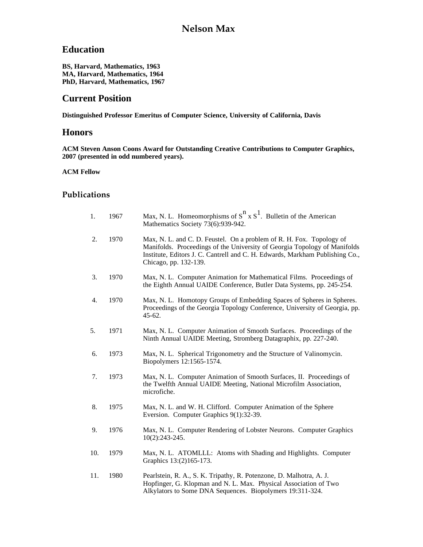# **Education**

**BS, Harvard, Mathematics, 1963 MA, Harvard, Mathematics, 1964 PhD, Harvard, Mathematics, 1967**

### **Current Position**

**Distinguished Professor Emeritus of Computer Science, University of California, Davis**

#### **Honors**

**ACM Steven Anson Coons Award for Outstanding Creative Contributions to Computer Graphics, 2007 (presented in odd numbered years).**

**ACM Fellow**

#### **Publications**

| 1.  | 1967 | Max, N. L. Homeomorphisms of $Sn \times S1$ . Bulletin of the American<br>Mathematics Society 73(6):939-942.                                                                                                                                               |
|-----|------|------------------------------------------------------------------------------------------------------------------------------------------------------------------------------------------------------------------------------------------------------------|
| 2.  | 1970 | Max, N. L. and C. D. Feustel. On a problem of R. H. Fox. Topology of<br>Manifolds. Proceedings of the University of Georgia Topology of Manifolds<br>Institute, Editors J. C. Cantrell and C. H. Edwards, Markham Publishing Co.,<br>Chicago, pp. 132-139. |
| 3.  | 1970 | Max, N. L. Computer Animation for Mathematical Films. Proceedings of<br>the Eighth Annual UAIDE Conference, Butler Data Systems, pp. 245-254.                                                                                                              |
| 4.  | 1970 | Max, N. L. Homotopy Groups of Embedding Spaces of Spheres in Spheres.<br>Proceedings of the Georgia Topology Conference, University of Georgia, pp.<br>45-62.                                                                                              |
| 5.  | 1971 | Max, N. L. Computer Animation of Smooth Surfaces. Proceedings of the<br>Ninth Annual UAIDE Meeting, Stromberg Datagraphix, pp. 227-240.                                                                                                                    |
| 6.  | 1973 | Max, N. L. Spherical Trigonometry and the Structure of Valinomycin.<br>Biopolymers 12:1565-1574.                                                                                                                                                           |
| 7.  | 1973 | Max, N. L. Computer Animation of Smooth Surfaces, II. Proceedings of<br>the Twelfth Annual UAIDE Meeting, National Microfilm Association,<br>microfiche.                                                                                                   |
| 8.  | 1975 | Max, N. L. and W. H. Clifford. Computer Animation of the Sphere<br>Eversion. Computer Graphics 9(1):32-39.                                                                                                                                                 |
| 9.  | 1976 | Max, N. L. Computer Rendering of Lobster Neurons. Computer Graphics<br>10(2):243-245.                                                                                                                                                                      |
| 10. | 1979 | Max, N. L. ATOMLLL: Atoms with Shading and Highlights. Computer<br>Graphics 13:(2)165-173.                                                                                                                                                                 |
| 11. | 1980 | Pearlstein, R. A., S. K. Tripathy, R. Potenzone, D. Malhotra, A. J.<br>Hopfinger, G. Klopman and N. L. Max. Physical Association of Two<br>Alkylators to Some DNA Sequences. Biopolymers 19:311-324.                                                       |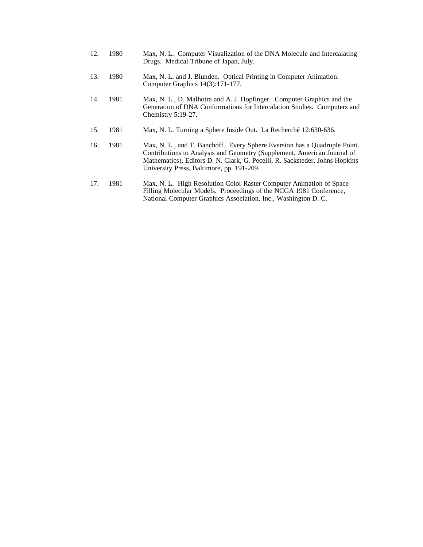| 12. | 1980 | Max, N. L. Computer Visualization of the DNA Molecule and Intercalating<br>Drugs. Medical Tribune of Japan, July.                                                                                                                                                                |
|-----|------|----------------------------------------------------------------------------------------------------------------------------------------------------------------------------------------------------------------------------------------------------------------------------------|
| 13. | 1980 | Max, N. L. and J. Blunden. Optical Printing in Computer Animation.<br>Computer Graphics 14(3):171-177.                                                                                                                                                                           |
| 14. | 1981 | Max, N. L., D. Malhotra and A. J. Hopfinger. Computer Graphics and the<br>Generation of DNA Conformations for Intercalation Studies. Computers and<br>Chemistry 5:19-27.                                                                                                         |
| 15. | 1981 | Max, N. L. Turning a Sphere Inside Out. La Recherché 12:630-636.                                                                                                                                                                                                                 |
| 16. | 1981 | Max, N. L., and T. Banchoff. Every Sphere Eversion has a Quadruple Point.<br>Contributions to Analysis and Geometry (Supplement, American Journal of<br>Mathematics), Editors D. N. Clark, G. Pecelli, R. Sacksteder, Johns Hopkins<br>University Press, Baltimore, pp. 191-209. |
| 17. | 1981 | Max, N. L. High Resolution Color Raster Computer Animation of Space<br>Filling Molecular Models. Proceedings of the NCGA 1981 Conference,<br>National Computer Graphics Association, Inc., Washington D. C.                                                                      |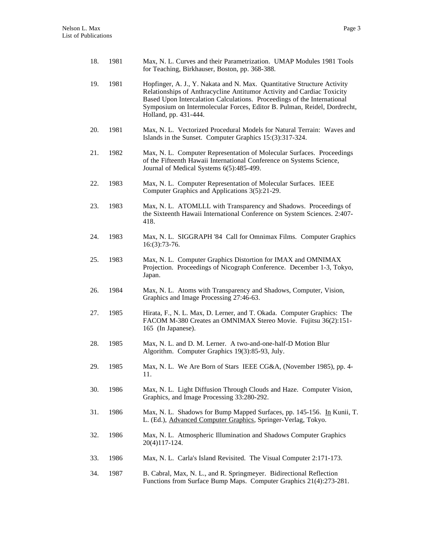| 18. | 1981 | Max, N. L. Curves and their Parametrization. UMAP Modules 1981 Tools<br>for Teaching, Birkhauser, Boston, pp. 368-388.                                                                                                                                                                                                            |
|-----|------|-----------------------------------------------------------------------------------------------------------------------------------------------------------------------------------------------------------------------------------------------------------------------------------------------------------------------------------|
| 19. | 1981 | Hopfinger, A. J., Y. Nakata and N. Max. Quantitative Structure Activity<br>Relationships of Anthracycline Antitumor Activity and Cardiac Toxicity<br>Based Upon Intercalation Calculations. Proceedings of the International<br>Symposium on Intermolecular Forces, Editor B. Pulman, Reidel, Dordrecht,<br>Holland, pp. 431-444. |
| 20. | 1981 | Max, N. L. Vectorized Procedural Models for Natural Terrain: Waves and<br>Islands in the Sunset. Computer Graphics 15:(3):317-324.                                                                                                                                                                                                |
| 21. | 1982 | Max, N. L. Computer Representation of Molecular Surfaces. Proceedings<br>of the Fifteenth Hawaii International Conference on Systems Science,<br>Journal of Medical Systems 6(5):485-499.                                                                                                                                         |
| 22. | 1983 | Max, N. L. Computer Representation of Molecular Surfaces. IEEE<br>Computer Graphics and Applications 3(5):21-29.                                                                                                                                                                                                                  |
| 23. | 1983 | Max, N. L. ATOMLLL with Transparency and Shadows. Proceedings of<br>the Sixteenth Hawaii International Conference on System Sciences. 2:407-<br>418.                                                                                                                                                                              |
| 24. | 1983 | Max, N. L. SIGGRAPH '84 Call for Omnimax Films. Computer Graphics<br>$16:(3):73-76.$                                                                                                                                                                                                                                              |
| 25. | 1983 | Max, N. L. Computer Graphics Distortion for IMAX and OMNIMAX<br>Projection. Proceedings of Nicograph Conference. December 1-3, Tokyo,<br>Japan.                                                                                                                                                                                   |
| 26. | 1984 | Max, N. L. Atoms with Transparency and Shadows, Computer, Vision,<br>Graphics and Image Processing 27:46-63.                                                                                                                                                                                                                      |
| 27. | 1985 | Hirata, F., N. L. Max, D. Lerner, and T. Okada. Computer Graphics: The<br>FACOM M-380 Creates an OMNIMAX Stereo Movie. Fujitsu 36(2):151-<br>165 (In Japanese).                                                                                                                                                                   |
| 28. | 1985 | Max, N. L. and D. M. Lerner. A two-and-one-half-D Motion Blur<br>Algorithm. Computer Graphics 19(3):85-93, July.                                                                                                                                                                                                                  |
| 29. | 1985 | Max, N. L. We Are Born of Stars IEEE CG&A, (November 1985), pp. 4-<br>11.                                                                                                                                                                                                                                                         |
| 30. | 1986 | Max, N. L. Light Diffusion Through Clouds and Haze. Computer Vision,<br>Graphics, and Image Processing 33:280-292.                                                                                                                                                                                                                |
| 31. | 1986 | Max, N. L. Shadows for Bump Mapped Surfaces, pp. 145-156. In Kunii, T.<br>L. (Ed.), Advanced Computer Graphics, Springer-Verlag, Tokyo.                                                                                                                                                                                           |
| 32. | 1986 | Max, N. L. Atmospheric Illumination and Shadows Computer Graphics<br>20(4)117-124.                                                                                                                                                                                                                                                |
| 33. | 1986 | Max, N. L. Carla's Island Revisited. The Visual Computer 2:171-173.                                                                                                                                                                                                                                                               |
| 34. | 1987 | B. Cabral, Max, N. L., and R. Springmeyer. Bidirectional Reflection<br>Functions from Surface Bump Maps. Computer Graphics 21(4):273-281.                                                                                                                                                                                         |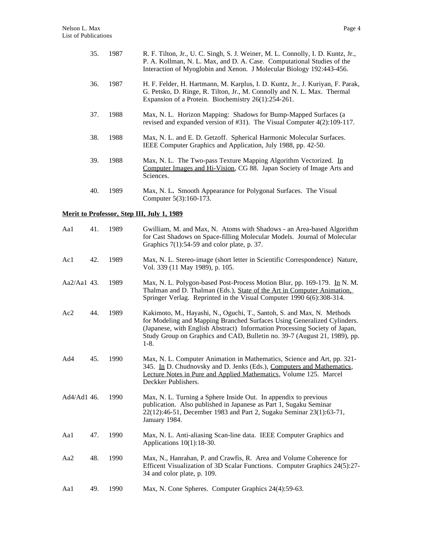| 35. | 1987 | R. F. Tilton, Jr., U. C. Singh, S. J. Weiner, M. L. Connolly, I. D. Kuntz, Jr.,<br>P. A. Kollman, N. L. Max, and D. A. Case. Computational Studies of the<br>Interaction of Myoglobin and Xenon. J Molecular Biology 192:443-456. |
|-----|------|-----------------------------------------------------------------------------------------------------------------------------------------------------------------------------------------------------------------------------------|
| 36. | 1987 | H. F. Felder, H. Hartmann, M. Karplus, I. D. Kuntz, Jr., J. Kuriyan, F. Parak,<br>G. Petsko, D. Ringe, R. Tilton, Jr., M. Connolly and N. L. Max. Thermal<br>Expansion of a Protein. Biochemistry 26(1):254-261.                  |
| 37. | 1988 | Max, N. L. Horizon Mapping: Shadows for Bump-Mapped Surfaces (a<br>revised and expanded version of #31). The Visual Computer 4(2):109-117.                                                                                        |
| 38. | 1988 | Max, N. L. and E. D. Getzoff. Spherical Harmonic Molecular Surfaces.<br>IEEE Computer Graphics and Application, July 1988, pp. 42-50.                                                                                             |
| 39. | 1988 | Max, N. L. The Two-pass Texture Mapping Algorithm Vectorized. In<br>Computer Images and Hi-Vision, CG 88. Japan Society of Image Arts and<br>Sciences.                                                                            |
| 40. | 1989 | Max, N. L. Smooth Appearance for Polygonal Surfaces. The Visual<br>Computer 5(3):160-173.                                                                                                                                         |

### **Merit to Professor, Step III, July 1, 1989**

| Aa1         | 41. | 1989 | Gwilliam, M. and Max, N. Atoms with Shadows - an Area-based Algorithm<br>for Cast Shadows on Space-filling Molecular Models. Journal of Molecular<br>Graphics $7(1)$ :54-59 and color plate, p. 37.                                                                                                                   |
|-------------|-----|------|-----------------------------------------------------------------------------------------------------------------------------------------------------------------------------------------------------------------------------------------------------------------------------------------------------------------------|
| Ac1         | 42. | 1989 | Max, N. L. Stereo-image (short letter in Scientific Correspondence) Nature,<br>Vol. 339 (11 May 1989), p. 105.                                                                                                                                                                                                        |
| Aa2/Aa1 43. |     | 1989 | Max, N. L. Polygon-based Post-Process Motion Blur, pp. 169-179. In N. M.<br>Thalman and D. Thalman (Eds.), State of the Art in Computer Animation,<br>Springer Verlag. Reprinted in the Visual Computer 1990 6(6):308-314.                                                                                            |
| Ac2         | 44. | 1989 | Kakimoto, M., Hayashi, N., Oguchi, T., Santoh, S. and Max, N. Methods<br>for Modeling and Mapping Branched Surfaces Using Generalized Cylinders.<br>(Japanese, with English Abstract) Information Processing Society of Japan,<br>Study Group on Graphics and CAD, Bulletin no. 39-7 (August 21, 1989), pp.<br>$1-8.$ |
| Ad4         | 45. | 1990 | Max, N. L. Computer Animation in Mathematics, Science and Art, pp. 321-<br>345. In D. Chudnovsky and D. Jenks (Eds.), Computers and Mathematics,<br>Lecture Notes in Pure and Applied Mathematics, Volume 125. Marcel<br>Deckker Publishers.                                                                          |
| Ad4/Ad1 46. |     | 1990 | Max, N. L. Turning a Sphere Inside Out. In appendix to previous<br>publication. Also published in Japanese as Part 1, Sugaku Seminar<br>22(12):46-51, December 1983 and Part 2, Sugaku Seminar 23(1):63-71,<br>January 1984.                                                                                          |
| Aa1         | 47. | 1990 | Max, N. L. Anti-aliasing Scan-line data. IEEE Computer Graphics and<br>Applications 10(1):18-30.                                                                                                                                                                                                                      |
| Aa2         | 48. | 1990 | Max, N., Hanrahan, P. and Crawfis, R. Area and Volume Coherence for<br>Efficent Visualization of 3D Scalar Functions. Computer Graphics 24(5):27-<br>34 and color plate, p. 109.                                                                                                                                      |
| Aa1         | 49. | 1990 | Max, N. Cone Spheres. Computer Graphics 24(4):59-63.                                                                                                                                                                                                                                                                  |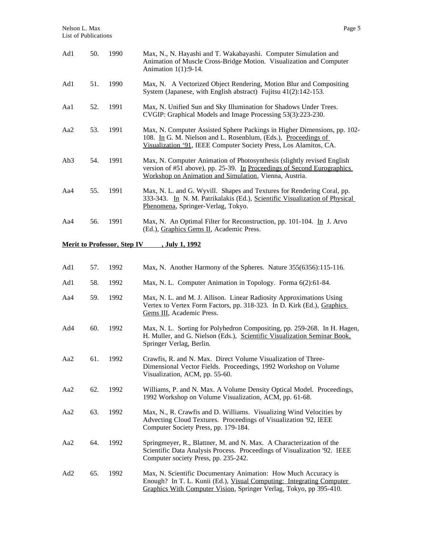| Ad1             | 50. | 1990 | Max, N., N. Hayashi and T. Wakabayashi. Computer Simulation and<br>Animation of Muscle Cross-Bridge Motion. Visualization and Computer<br>Animation 1(1):9-14.                                                  |
|-----------------|-----|------|-----------------------------------------------------------------------------------------------------------------------------------------------------------------------------------------------------------------|
| Ad1             | 51. | 1990 | Max, N. A Vectorized Object Rendering, Motion Blur and Compositing<br>System (Japanese, with English abstract) Fujitsu 41(2):142-153.                                                                           |
| Aa1             | 52. | 1991 | Max, N. Unified Sun and Sky Illumination for Shadows Under Trees.<br>CVGIP: Graphical Models and Image Processing 53(3):223-230.                                                                                |
| Aa2             | 53. | 1991 | Max, N. Computer Assisted Sphere Packings in Higher Dimensions, pp. 102-<br>108. In G. M. Nielson and L. Rosenblum, (Eds.), Proceedings of<br>Visualization '91, IEEE Computer Society Press, Los Alamitos, CA. |
| Ab <sub>3</sub> | 54. | 1991 | Max, N. Computer Animation of Photosynthesis (slightly revised English<br>version of #51 above), pp. 25-39. In Proceedings of Second Eurographics<br>Workshop on Animation and Simulation, Vienna, Austria.     |
| Aa4             | 55. | 1991 | Max, N. L. and G. Wyvill. Shapes and Textures for Rendering Coral, pp.<br>333-343. In N. M. Patrikalakis (Ed.), Scientific Visualization of Physical<br>Phenomena, Springer-Verlag, Tokyo.                      |
| Aa4             | 56. | 1991 | Max, N. An Optimal Filter for Reconstruction, pp. 101-104. In J. Arvo<br>(Ed.), Graphics Gems II, Academic Press.                                                                                               |
|                 |     |      | Merit to Professor, Step IV, July 1, 1992                                                                                                                                                                       |
| Ad1             | 57. | 1992 | Max, N. Another Harmony of the Spheres. Nature 355(6356):115-116.                                                                                                                                               |
| Ad1             | 58. | 1992 | Max, N. L. Computer Animation in Topology. Forma 6(2):61-84.                                                                                                                                                    |
| Aa4             | 59. | 1992 | Max, N. L. and M. J. Allison. Linear Radiosity Approximations Using<br>Vertex to Vertex Form Factors, pp. 318-323. In D. Kirk (Ed.), Graphics<br>Gems III, Academic Press.                                      |
| Ad4             | 60. | 1992 | Max, N. L. Sorting for Polyhedron Compositing, pp. 259-268. In H. Hagen,<br>H. Muller, and G. Nielson (Eds.), Scientific Visualization Seminar Book,<br>Springer Verlag, Berlin.                                |
| Aa2             | 61. | 1992 | Crawfis, R. and N. Max. Direct Volume Visualization of Three-<br>Dimensional Vector Fields. Proceedings, 1992 Workshop on Volume<br>Visualization, ACM, pp. 55-60.                                              |
| Aa2             | 62. | 1992 | Williams, P. and N. Max. A Volume Density Optical Model. Proceedings,<br>1992 Workshop on Volume Visualization, ACM, pp. 61-68.                                                                                 |
| Aa2             | 63. | 1992 | Max, N., R. Crawfis and D. Williams. Visualizing Wind Velocities by<br>Advecting Cloud Textures. Proceedings of Visualization '92, IEEE<br>Computer Society Press, pp. 179-184.                                 |
| Aa2             | 64. | 1992 | Springmeyer, R., Blattner, M. and N. Max. A Characterization of the<br>Scientific Data Analysis Process. Proceedings of Visualization '92. IEEE<br>Computer society Press, pp. 235-242.                         |
| Ad2             | 65. | 1992 | Max, N. Scientific Documentary Animation: How Much Accuracy is<br>Enough? In T. L. Kunii (Ed.), Visual Computing: Integrating Computer                                                                          |

Graphics With Computer Vision, Springer Verlag, Tokyo, pp 395-410.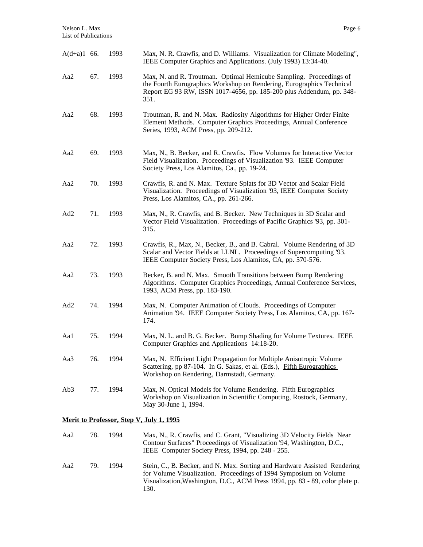| $A(d+a)1$ 66.   |                                          | 1993 | Max, N. R. Crawfis, and D. Williams. Visualization for Climate Modeling",<br>IEEE Computer Graphics and Applications. (July 1993) 13:34-40.                                                                                 |  |  |
|-----------------|------------------------------------------|------|-----------------------------------------------------------------------------------------------------------------------------------------------------------------------------------------------------------------------------|--|--|
| Aa2             | 67.                                      | 1993 | Max, N. and R. Troutman. Optimal Hemicube Sampling. Proceedings of<br>the Fourth Eurographics Workshop on Rendering, Eurographics Technical<br>Report EG 93 RW, ISSN 1017-4656, pp. 185-200 plus Addendum, pp. 348-<br>351. |  |  |
| Aa2             | 68.                                      | 1993 | Troutman, R. and N. Max. Radiosity Algorithms for Higher Order Finite<br>Element Methods. Computer Graphics Proceedings, Annual Conference<br>Series, 1993, ACM Press, pp. 209-212.                                         |  |  |
| Aa2             | 69.                                      | 1993 | Max, N., B. Becker, and R. Crawfis. Flow Volumes for Interactive Vector<br>Field Visualization. Proceedings of Visualization '93. IEEE Computer<br>Society Press, Los Alamitos, Ca., pp. 19-24.                             |  |  |
| Aa2             | 70.                                      | 1993 | Crawfis, R. and N. Max. Texture Splats for 3D Vector and Scalar Field<br>Visualization. Proceedings of Visualization '93, IEEE Computer Society<br>Press, Los Alamitos, CA., pp. 261-266.                                   |  |  |
| Ad2             | 71.                                      | 1993 | Max, N., R. Crawfis, and B. Becker. New Techniques in 3D Scalar and<br>Vector Field Visualization. Proceedings of Pacific Graphics '93, pp. 301-<br>315.                                                                    |  |  |
| Aa2             | 72.                                      | 1993 | Crawfis, R., Max, N., Becker, B., and B. Cabral. Volume Rendering of 3D<br>Scalar and Vector Fields at LLNL. Proceedings of Supercomputing '93.<br>IEEE Computer Society Press, Los Alamitos, CA, pp. 570-576.              |  |  |
| Aa2             | 73.                                      | 1993 | Becker, B. and N. Max. Smooth Transitions between Bump Rendering<br>Algorithms. Computer Graphics Proceedings, Annual Conference Services,<br>1993, ACM Press, pp. 183-190.                                                 |  |  |
| Ad2             | 74.                                      | 1994 | Max, N. Computer Animation of Clouds. Proceedings of Computer<br>Animation '94. IEEE Computer Society Press, Los Alamitos, CA, pp. 167-<br>174.                                                                             |  |  |
| Aa1             | 75.                                      | 1994 | Max, N. L. and B. G. Becker. Bump Shading for Volume Textures. IEEE<br>Computer Graphics and Applications 14:18-20.                                                                                                         |  |  |
| Aa3             | 76.                                      | 1994 | Max, N. Efficient Light Propagation for Multiple Anisotropic Volume<br>Scattering, pp 87-104. In G. Sakas, et al. (Eds.), Fifth Eurographics<br>Workshop on Rendering, Darmstadt, Germany.                                  |  |  |
| Ab <sub>3</sub> | 77.                                      | 1994 | Max, N. Optical Models for Volume Rendering. Fifth Eurographics<br>Workshop on Visualization in Scientific Computing, Rostock, Germany,<br>May 30-June 1, 1994.                                                             |  |  |
|                 | Merit to Professor, Step V, July 1, 1995 |      |                                                                                                                                                                                                                             |  |  |

| Aa2 | 78. | 1994 | Max, N., R. Crawfis, and C. Grant, "Visualizing 3D Velocity Fields Near<br>Contour Surfaces" Proceedings of Visualization '94, Washington, D.C.,<br>IEEE Computer Society Press, 1994, pp. 248 - 255.                                  |
|-----|-----|------|----------------------------------------------------------------------------------------------------------------------------------------------------------------------------------------------------------------------------------------|
| Aa2 | 79. | 1994 | Stein, C., B. Becker, and N. Max. Sorting and Hardware Assisted Rendering<br>for Volume Visualization. Proceedings of 1994 Symposium on Volume<br>Visualization, Washington, D.C., ACM Press 1994, pp. 83 - 89, color plate p.<br>130. |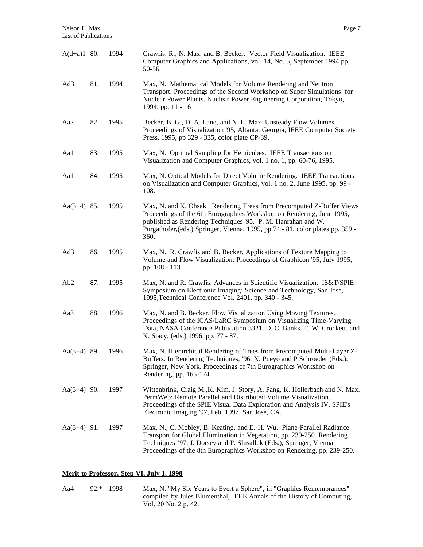| $A(d+a)1$ 80.   |     | 1994 | Crawfis, R., N. Max, and B. Becker. Vector Field Visualization. IEEE<br>Computer Graphics and Applications, vol. 14, No. 5, September 1994 pp.<br>50-56.                                                                                                                                                  |
|-----------------|-----|------|-----------------------------------------------------------------------------------------------------------------------------------------------------------------------------------------------------------------------------------------------------------------------------------------------------------|
| Ad3             | 81. | 1994 | Max, N. Mathematical Models for Volume Rendering and Neutron<br>Transport. Proceedings of the Second Workshop on Super Simulations for<br>Nuclear Power Plants. Nuclear Power Engineering Corporation, Tokyo,<br>1994, pp. 11 - 16                                                                        |
| Aa2             | 82. | 1995 | Becker, B. G., D. A. Lane, and N. L. Max. Unsteady Flow Volumes.<br>Proceedings of Visualization '95, Altanta, Georgia, IEEE Computer Society<br>Press, 1995, pp 329 - 335, color plate CP-39.                                                                                                            |
| Aa1             | 83. | 1995 | Max, N. Optimal Sampling for Hemicubes. IEEE Transactions on<br>Visualization and Computer Graphics, vol. 1 no. 1, pp. 60-76, 1995.                                                                                                                                                                       |
| Aa1             | 84. | 1995 | Max, N. Optical Models for Direct Volume Rendering. IEEE Transactions<br>on Visualization and Computer Graphics, vol. 1 no. 2, June 1995, pp. 99 -<br>108.                                                                                                                                                |
| Aa $(3+4)$ 85.  |     | 1995 | Max, N. and K. Ohsaki. Rendering Trees from Precomputed Z-Buffer Views<br>Proceedings of the 6th Eurographics Workshop on Rendering, June 1995,<br>published as Rendering Techniques '95. P. M. Hanrahan and W.<br>Purgathofer, (eds.) Springer, Vienna, 1995, pp.74 - 81, color plates pp. 359 -<br>360. |
| Ad3             | 86. | 1995 | Max, N., R. Crawfis and B. Becker. Applications of Texture Mapping to<br>Volume and Flow Visualization. Proceedings of Graphicon '95, July 1995,<br>pp. 108 - 113.                                                                                                                                        |
| Ab <sub>2</sub> | 87. | 1995 | Max, N. and R. Crawfis. Advances in Scientific Visualization. IS&T/SPIE<br>Symposium on Electronic Imaging: Science and Technology, San Jose,<br>1995, Technical Conference Vol. 2401, pp. 340 - 345.                                                                                                     |
| Aa3             | 88. | 1996 | Max, N. and B. Becker. Flow Visualization Using Moving Textures.<br>Proceedings of the ICAS/LaRC Symposium on Visualizing Time-Varying<br>Data, NASA Conference Publication 3321, D. C. Banks, T. W. Crockett, and<br>K. Stacy, (eds.) 1996, pp. 77 - 87.                                                 |
| Aa $(3+4)$ 89.  |     | 1996 | Max, N. Hierarchical Rendering of Trees from Precomputed Multi-Layer Z-<br>Buffers. In Rendering Techniques, '96, X. Pueyo and P Schroeder (Eds.),<br>Springer, New York. Proceedings of 7th Eurographics Workshop on<br>Rendering, pp. 165-174.                                                          |
| Aa $(3+4)$ 90.  |     | 1997 | Wittenbrink, Craig M., K. Kim, J. Story, A. Pang, K. Hollerbach and N. Max.<br>PermWeb: Remote Parallel and Distributed Volume Visualization.<br>Proceedings of the SPIE Visual Data Exploration and Analysis IV, SPIE's<br>Electronic Imaging '97, Feb. 1997, San Jose, CA.                              |
| Aa $(3+4)$ 91.  |     | 1997 | Max, N., C. Mobley, B. Keating, and E.-H. Wu. Plane-Parallel Radiance<br>Transport for Global Illumination in Vegetation, pp. 239-250. Rendering<br>Techniques '97. J. Dorsey and P. Slusallek (Eds.), Springer, Vienna.<br>Proceedings of the 8th Eurographics Workshop on Rendering, pp. 239-250.       |

## **Merit to Professor, Step VI, July 1, 1998**

| Aa4 | 92.* 1998 | Max, N. "My Six Years to Evert a Sphere", in "Graphics Remembrances"   |
|-----|-----------|------------------------------------------------------------------------|
|     |           | compiled by Jules Blumenthal, IEEE Annals of the History of Computing, |
|     |           | Vol. 20 No. 2 p. 42.                                                   |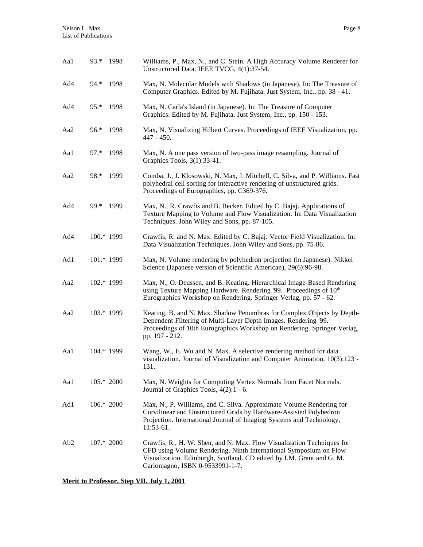| Aa1             | 93.* 1998    |      | Williams, P., Max, N., and C. Stein. A High Accuracy Volume Renderer for<br>Unstructured Data. IEEE TVCG, 4(1):37-54.                                                                                                                                   |
|-----------------|--------------|------|---------------------------------------------------------------------------------------------------------------------------------------------------------------------------------------------------------------------------------------------------------|
| Ad4             | $94.*$       | 1998 | Max, N. Molecular Models with Shadows (in Japanese). In: The Treasure of<br>Computer Graphics. Edited by M. Fujihata. Just System, Inc., pp. 38 - 41.                                                                                                   |
| Ad4             | $95.*$       | 1998 | Max, N. Carla's Island (in Japanese). In: The Treasure of Computer<br>Graphics. Edited by M. Fujihata. Just System, Inc., pp. 150 - 153.                                                                                                                |
| Aa2             | $96.*$       | 1998 | Max, N. Visualizing Hilbert Curves. Proceedings of IEEE Visualization, pp.<br>$447 - 450.$                                                                                                                                                              |
| Aa1             | $97.*$       | 1998 | Max, N. A one pass version of two-pass image resampling. Journal of<br>Graphics Tools, 3(1):33-41.                                                                                                                                                      |
| Aa2             | 98.*         | 1999 | Comba, J., J. Klosowski, N. Max, J. Mitchell, C. Silva, and P. Williams. Fast<br>polyhedral cell sorting for interactive rendering of unstructured grids.<br>Proceedings of Eurographics, pp. C369-376.                                                 |
| Ad4             | 99.*         | 1999 | Max, N., R. Crawfis and B. Becker. Edited by C. Bajaj. Applications of<br>Texture Mapping to Volume and Flow Visualization. In: Data Visualization<br>Techniques. John Wiley and Sons, pp. 87-105.                                                      |
| Ad4             | 100.* 1999   |      | Crawfis, R. and N. Max. Edited by C. Bajaj. Vector Field Visualization. In:<br>Data Visualization Techniques. John Wiley and Sons, pp. 75-86.                                                                                                           |
| Ad1             | $101.*$ 1999 |      | Max, N. Volume rendering by polyhedron projection (in Japanese). Nikkei<br>Science (Japanese version of Scientific American), 29(6):96-98.                                                                                                              |
| Aa2             | 102.* 1999   |      | Max, N., O. Deussen, and B. Keating. Hierarchical Image-Based Rendering<br>using Texture Mapping Hardware. Rendering '99. Proceedings of $10th$<br>Eurographics Workshop on Rendering. Springer Verlag, pp. 57 - 62.                                    |
| Aa2             | 103.* 1999   |      | Keating, B. and N. Max. Shadow Penumbras for Complex Objects by Depth-<br>Dependent Filtering of Multi-Layer Depth Images. Rendering '99.<br>Proceedings of 10th Eurographics Workshop on Rendering. Springer Verlag,<br>pp. 197 - 212.                 |
| Aa1             | 104.* 1999   |      | Wang, W., E. Wu and N. Max. A selective rendering method for data<br>visualization. Journal of Visualization and Computer Animation, 10(3):123 -<br>131.                                                                                                |
| Aa1             | $105.*$ 2000 |      | Max, N. Weights for Computing Vertex Normals from Facet Normals.<br>Journal of Graphics Tools, 4(2):1 - 6.                                                                                                                                              |
| Ad1             | $106.*$ 2000 |      | Max, N., P. Williams, and C. Silva. Approximate Volume Rendering for<br>Curvilinear and Unstructured Grids by Hardware-Assisted Polyhedron<br>Projection. International Journal of Imaging Systems and Technology,<br>11:53-61.                         |
| Ab <sub>2</sub> | 107.* 2000   |      | Crawfis, R., H. W. Shen, and N. Max. Flow Visualization Techniques for<br>CFD using Volume Rendering. Ninth International Symposium on Flow<br>Visualization. Edinburgh, Scotland. CD edited by I.M. Grant and G. M.<br>Carlomagno, ISBN 0-9533991-1-7. |

**Merit to Professor, Step VII, July 1, 2001**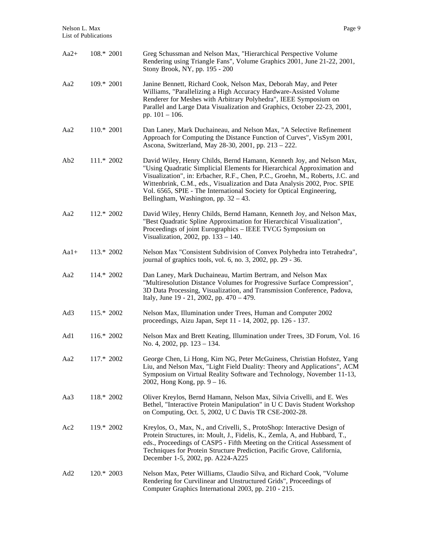| $Aa2+$          | $108.*$ 2001 | Greg Schussman and Nelson Max, "Hierarchical Perspective Volume<br>Rendering using Triangle Fans", Volume Graphics 2001, June 21-22, 2001,<br>Stony Brook, NY, pp. 195 - 200                                                                                                                                                                                                                                                   |
|-----------------|--------------|--------------------------------------------------------------------------------------------------------------------------------------------------------------------------------------------------------------------------------------------------------------------------------------------------------------------------------------------------------------------------------------------------------------------------------|
| Aa2             | 109.* 2001   | Janine Bennett, Richard Cook, Nelson Max, Deborah May, and Peter<br>Williams, "Parallelizing a High Accuracy Hardware-Assisted Volume<br>Renderer for Meshes with Arbitrary Polyhedra", IEEE Symposium on<br>Parallel and Large Data Visualization and Graphics, October 22-23, 2001,<br>pp. $101 - 106$ .                                                                                                                     |
| Aa2             | 110.* 2001   | Dan Laney, Mark Duchaineau, and Nelson Max, "A Selective Refinement<br>Approach for Computing the Distance Function of Curves", VisSym 2001,<br>Ascona, Switzerland, May 28-30, 2001, pp. 213 - 222.                                                                                                                                                                                                                           |
| Ab <sub>2</sub> | $111.*$ 2002 | David Wiley, Henry Childs, Bernd Hamann, Kenneth Joy, and Nelson Max,<br>"Using Quadratic Simplicial Elements for Hierarchical Approximation and<br>Visualization", in: Erbacher, R.F., Chen, P.C., Groehn, M., Roberts, J.C. and<br>Wittenbrink, C.M., eds., Visualization and Data Analysis 2002, Proc. SPIE<br>Vol. 6565, SPIE - The International Society for Optical Engineering,<br>Bellingham, Washington, pp. 32 - 43. |
| Aa2             | 112.* 2002   | David Wiley, Henry Childs, Bernd Hamann, Kenneth Joy, and Nelson Max,<br>"Best Quadratic Spline Approximation for Hierarchical Visualization",<br>Proceedings of joint Eurographics - IEEE TVCG Symposium on<br>Visualization, 2002, pp. 133 - 140.                                                                                                                                                                            |
| $Aa1+$          | 113.* 2002   | Nelson Max "Consistent Subdivision of Convex Polyhedra into Tetrahedra",<br>journal of graphics tools, vol. 6, no. 3, 2002, pp. 29 - 36.                                                                                                                                                                                                                                                                                       |
| Aa2             | 114.* 2002   | Dan Laney, Mark Duchaineau, Martim Bertram, and Nelson Max<br>"Multiresolution Distance Volumes for Progressive Surface Compression",<br>3D Data Processing, Visualization, and Transmission Conference, Padova,<br>Italy, June 19 - 21, 2002, pp. 470 - 479.                                                                                                                                                                  |
| Ad3             | 115.* 2002   | Nelson Max, Illumination under Trees, Human and Computer 2002<br>proceedings, Aizu Japan, Sept 11 - 14, 2002, pp. 126 - 137.                                                                                                                                                                                                                                                                                                   |
| Ad1             | 116.* 2002   | Nelson Max and Brett Keating, Illumination under Trees, 3D Forum, Vol. 16<br>No. 4, 2002, pp. 123 - 134.                                                                                                                                                                                                                                                                                                                       |
| Aa2             | 117.* 2002   | George Chen, Li Hong, Kim NG, Peter McGuiness, Christian Hofstez, Yang<br>Liu, and Nelson Max, "Light Field Duality: Theory and Applications", ACM<br>Symposium on Virtual Reality Software and Technology, November 11-13,<br>2002, Hong Kong, pp. $9 - 16$ .                                                                                                                                                                 |
| Aa3             | 118.* 2002   | Oliver Kreylos, Bernd Hamann, Nelson Max, Silvia Crivelli, and E. Wes<br>Bethel, "Interactive Protein Manipulation" in U C Davis Student Workshop<br>on Computing, Oct. 5, 2002, U C Davis TR CSE-2002-28.                                                                                                                                                                                                                     |
| Ac2             | 119.* 2002   | Kreylos, O., Max, N., and Crivelli, S., ProtoShop: Interactive Design of<br>Protein Structures, in: Moult, J., Fidelis, K., Zemla, A, and Hubbard, T.,<br>eds., Proceedings of CASP5 - Fifth Meeting on the Critical Assessment of<br>Techniques for Protein Structure Prediction, Pacific Grove, California,<br>December 1-5, 2002, pp. A224-A225                                                                             |
| Ad2             | 120.* 2003   | Nelson Max, Peter Williams, Claudio Silva, and Richard Cook, "Volume<br>Rendering for Curvilinear and Unstructured Grids", Proceedings of<br>Computer Graphics International 2003, pp. 210 - 215.                                                                                                                                                                                                                              |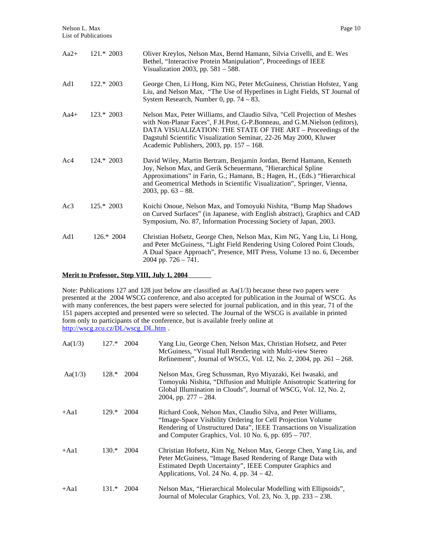| $Aa2+$ | $121.*$ 2003 | Oliver Kreylos, Nelson Max, Bernd Hamann, Silvia Crivelli, and E. Wes<br>Bethel, "Interactive Protein Manipulation", Proceedings of IEEE<br>Visualization 2003, pp. $581 - 588$ .                                                                                                                                                         |
|--------|--------------|-------------------------------------------------------------------------------------------------------------------------------------------------------------------------------------------------------------------------------------------------------------------------------------------------------------------------------------------|
| Ad1    | $122.*$ 2003 | George Chen, Li Hong, Kim NG, Peter McGuiness, Christian Hofstez, Yang<br>Liu, and Nelson Max, "The Use of Hyperlines in Light Fields, ST Journal of<br>System Research, Number 0, pp. 74 - 83.                                                                                                                                           |
| $Aa4+$ | $123.*$ 2003 | Nelson Max, Peter Williams, and Claudio Silva, "Cell Projection of Meshes<br>with Non-Planar Faces", F.H.Post, G-P.Bonneau, and G.M.Nielson (editors),<br>DATA VISUALIZATION: THE STATE OF THE ART - Proceedings of the<br>Dagstuhl Scientific Visualization Seminar, 22-26 May 2000, Kluwer<br>Academic Publishers, 2003, pp. 157 - 168. |
| Ac4    | $124.*$ 2003 | David Wiley, Martin Bertram, Benjamin Jordan, Bernd Hamann, Kenneth<br>Joy, Nelson Max, and Gerik Scheuermann, "Hierarchical Spline<br>Approximations" in Farin, G.; Hamann, B.; Hagen, H., (Eds.) "Hierarchical<br>and Geometrical Methods in Scientific Visualization", Springer, Vienna,<br>$2003$ , pp. $63 - 88$ .                   |
| Ac3    | $125.*$ 2003 | Koichi Onoue, Nelson Max, and Tomoyuki Nishita, "Bump Map Shadows<br>on Curved Surfaces" (in Japanese, with English abstract), Graphics and CAD<br>Symposium, No. 87, Information Processing Society of Japan, 2003.                                                                                                                      |
| Ad1    | $126.*$ 2004 | Christian Hofsetz, George Chen, Nelson Max, Kim NG, Yang Liu, Li Hong,<br>and Peter McGuiness, "Light Field Rendering Using Colored Point Clouds,<br>A Dual Space Approach", Presence, MIT Press, Volume 13 no. 6, December<br>2004 pp. $726 - 741$ .                                                                                     |

#### **Merit to Professor, Step VIII, July 1, 2004**

Note: Publications 127 and 128 just below are classified as Aa(1/3) because these two papers were presented at the 2004 WSCG conference, and also accepted for publication in the Journal of WSCG. As with many conferences, the best papers were selected for journal publication, and in this year, 71 of the 151 papers accepted and presented were so selected. The Journal of the WSCG is available in printed form only to participants of the conference, but is available freely online at [http://wscg.zcu.cz/DL/wscg\\_DL.htm](http://wscg.zcu.cz/DL/wscg_DL.htm) .

| Aa(1/3) | $127.*$ | 2004 | Yang Liu, George Chen, Nelson Max, Christian Hofsetz, and Peter<br>McGuiness, "Visual Hull Rendering with Multi-view Stereo<br>Refinement", Journal of WSCG, Vol. 12, No. 2, 2004, pp. 261 - 268.                                                             |
|---------|---------|------|---------------------------------------------------------------------------------------------------------------------------------------------------------------------------------------------------------------------------------------------------------------|
| Aa(1/3) | $128.*$ | 2004 | Nelson Max, Greg Schussman, Ryo Miyazaki, Kei Iwasaki, and<br>Tomoyuki Nishita, "Diffusion and Multiple Anisotropic Scattering for<br>Global Illumination in Clouds", Journal of WSCG, Vol. 12, No. 2,<br>2004, pp. $277 - 284$ .                             |
| $+Aa1$  | $129.*$ | 2004 | Richard Cook, Nelson Max, Claudio Silva, and Peter Williams,<br>"Image-Space Visibility Ordering for Cell Projection Volume<br>Rendering of Unstructured Data", IEEE Transactions on Visualization<br>and Computer Graphics, Vol. 10 No. 6, pp. $695 - 707$ . |
| $+Aa1$  | $130.*$ | 2004 | Christian Hofsetz, Kim Ng, Nelson Max, George Chen, Yang Liu, and<br>Peter McGuiness, "Image Based Rendering of Range Data with<br>Estimated Depth Uncertainty", IEEE Computer Graphics and<br>Applications, Vol. 24 No. 4, pp. 34 – 42.                      |
| +Aa1    | 131.*   | 2004 | Nelson Max, "Hierarchical Molecular Modelling with Ellipsoids",<br>Journal of Molecular Graphics, Vol. 23, No. 3, pp. 233 - 238.                                                                                                                              |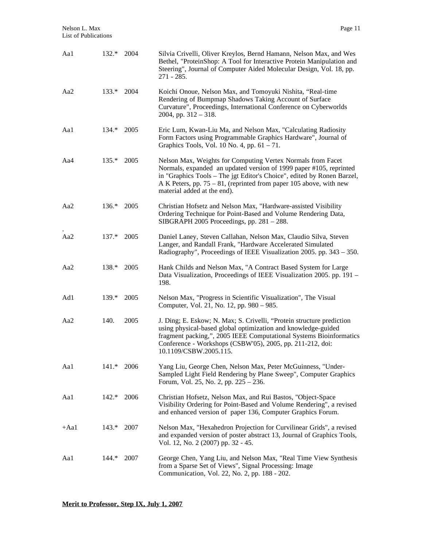| Aa1             | $132.*$ | 2004 | Silvia Crivelli, Oliver Kreylos, Bernd Hamann, Nelson Max, and Wes<br>Bethel, "ProteinShop: A Tool for Interactive Protein Manipulation and<br>Steering", Journal of Computer Aided Molecular Design, Vol. 18, pp.<br>271 - 285.                                                                                    |
|-----------------|---------|------|---------------------------------------------------------------------------------------------------------------------------------------------------------------------------------------------------------------------------------------------------------------------------------------------------------------------|
| Aa2             | $133.*$ | 2004 | Koichi Onoue, Nelson Max, and Tomoyuki Nishita, "Real-time<br>Rendering of Bumpmap Shadows Taking Account of Surface<br>Curvature", Proceedings, International Conference on Cyberworlds<br>2004, pp. $312 - 318$ .                                                                                                 |
| Aa1             | 134.*   | 2005 | Eric Lum, Kwan-Liu Ma, and Nelson Max, "Calculating Radiosity<br>Form Factors using Programmable Graphics Hardware", Journal of<br>Graphics Tools, Vol. 10 No. 4, pp. $61 - 71$ .                                                                                                                                   |
| Aa4             | $135.*$ | 2005 | Nelson Max, Weights for Computing Vertex Normals from Facet<br>Normals, expanded an updated version of 1999 paper #105, reprinted<br>in "Graphics Tools - The jgt Editor's Choice", edited by Ronen Barzel,<br>A K Peters, pp. $75 - 81$ , (reprinted from paper 105 above, with new<br>material added at the end). |
| Aa <sub>2</sub> | $136.*$ | 2005 | Christian Hofsetz and Nelson Max, "Hardware-assisted Visibility<br>Ordering Technique for Point-Based and Volume Rendering Data,<br>SIBGRAPH 2005 Proceedings, pp. 281 - 288.                                                                                                                                       |
| Aa2             | $137.*$ | 2005 | Daniel Laney, Steven Callahan, Nelson Max, Claudio Silva, Steven<br>Langer, and Randall Frank, "Hardware Accelerated Simulated<br>Radiography", Proceedings of IEEE Visualization 2005. pp. 343 - 350.                                                                                                              |
| Aa2             | $138.*$ | 2005 | Hank Childs and Nelson Max, "A Contract Based System for Large<br>Data Visualization, Proceedings of IEEE Visualization 2005. pp. 191 -<br>198.                                                                                                                                                                     |
| Ad1             | 139.*   | 2005 | Nelson Max, "Progress in Scientific Visualization", The Visual<br>Computer, Vol. 21, No. 12, pp. 980 – 985.                                                                                                                                                                                                         |
| Aa2             | 140.    | 2005 | J. Ding; E. Eskow; N. Max; S. Crivelli, "Protein structure prediction<br>using physical-based global optimization and knowledge-guided<br>fragment packing,", 2005 IEEE Computational Systems Bioinformatics<br>Conference - Workshops (CSBW'05), 2005, pp. 211-212, doi:<br>10.1109/CSBW.2005.115.                 |
| Aa1             | $141.*$ | 2006 | Yang Liu, George Chen, Nelson Max, Peter McGuinness, "Under-<br>Sampled Light Field Rendering by Plane Sweep", Computer Graphics<br>Forum, Vol. 25, No. 2, pp. 225 – 236.                                                                                                                                           |
| Aa1             | $142.*$ | 2006 | Christian Hofsetz, Nelson Max, and Rui Bastos, "Object-Space<br>Visibility Ordering for Point-Based and Volume Rendering", a revised<br>and enhanced version of paper 136, Computer Graphics Forum.                                                                                                                 |
| $+Aa1$          | $143.*$ | 2007 | Nelson Max, "Hexahedron Projection for Curvilinear Grids", a revised<br>and expanded version of poster abstract 13, Journal of Graphics Tools,<br>Vol. 12, No. 2 (2007) pp. 32 - 45.                                                                                                                                |
| Aa1             | 144.*   | 2007 | George Chen, Yang Liu, and Nelson Max, "Real Time View Synthesis<br>from a Sparse Set of Views", Signal Processing: Image<br>Communication, Vol. 22, No. 2, pp. 188 - 202.                                                                                                                                          |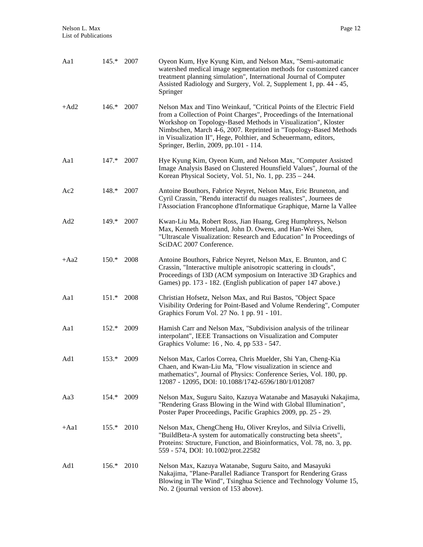| $+Ad2$ | $146*2007$ | Nelson Max and Tino Weinkauf, "Critical Points of the Electric Field<br>from a Collection of Point Charges", Proceedings of the International<br>Workshop on Topology-Based Methods in Visualization", Kloster<br>Nimbschen, March 4-6, 2007. Reprinted in "Topology-Based Methods"<br>in Visualization II", Hege, Polthier, and Scheuermann, editors, |
|--------|------------|--------------------------------------------------------------------------------------------------------------------------------------------------------------------------------------------------------------------------------------------------------------------------------------------------------------------------------------------------------|
|        |            | Springer, Berlin, 2009, pp.101 - 114.                                                                                                                                                                                                                                                                                                                  |

Springer

- Aa1 147.\* 2007 Hye Kyung Kim, Oyeon Kum, and Nelson Max, "Computer Assisted Image Analysis Based on Clustered Hounsfield Values", Journal of the Korean Physical Society, Vol. 51, No. 1, pp. 235 – 244.
- Ac2 148.\* 2007 Antoine Bouthors, Fabrice Neyret, Nelson Max, Eric Bruneton, and Cyril Crassin, "Rendu interactif du nuages realistes", Journees de l'Association Francophone d'Informatique Graphique, Marne la Vallee
- Ad2 149.\* 2007 Kwan-Liu Ma, Robert Ross, Jian Huang, Greg Humphreys, Nelson Max, Kenneth Moreland, John D. Owens, and Han-Wei Shen, "Ultrascale Visualization: Research and Education" In Proceedings of SciDAC 2007 Conference.
- +Aa2 150.\* 2008 Antoine Bouthors, Fabrice Neyret, Nelson Max, E. Brunton, and C Crassin, "Interactive multiple anisotropic scattering in clouds", Proceedings of I3D (ACM symposium on Interactive 3D Graphics and Games) pp. 173 - 182. (English publication of paper 147 above.)
- Aa1 151.\* 2008 Christian Hofsetz, Nelson Max, and Rui Bastos, "Object Space Visibility Ordering for Point-Based and Volume Rendering", Computer Graphics Forum Vol. 27 No. 1 pp. 91 - 101.
- Aa1 152.\* 2009 Hamish Carr and Nelson Max, "Subdivision analysis of the trilinear interpolant", IEEE Transactions on Visualization and Computer Graphics Volume: 16 , No. 4, pp 533 - 547.
- Ad1 153.\* 2009 Nelson Max, Carlos Correa, Chris Muelder, Shi Yan, Cheng-Kia Chaen, and Kwan-Liu Ma, "Flow visualization in science and mathematics", Journal of Physics: Conference Series, Vol. 180, pp. 12087 - 12095, DOI: 10.1088/1742-6596/180/1/012087
- Aa3 154.\* 2009 Nelson Max, Suguru Saito, Kazuya Watanabe and Masayuki Nakajima, "Rendering Grass Blowing in the Wind with Global Illumination", Poster Paper Proceedings, Pacific Graphics 2009, pp. 25 - 29.
- +Aa1 155.\* 2010 Nelson Max, ChengCheng Hu, Oliver Kreylos, and Silvia Crivelli, "BuildBeta-A system for automatically constructing beta sheets", Proteins: Structure, Function, and Bioinformatics, Vol. 78, no. 3, pp. 559 - 574, DOI: 10.1002/prot.22582
- Ad1 156.\* 2010 Nelson Max, Kazuya Watanabe, Suguru Saito, and Masayuki Nakajima, "Plane-Parallel Radiance Transport for Rendering Grass Blowing in The Wind", Tsinghua Science and Technology Volume 15, No. 2 (journal version of 153 above).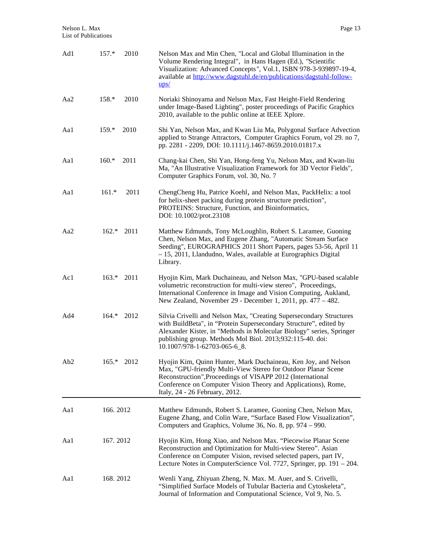| Ad1             | $157.*$<br>2010 | Nelson Max and Min Chen, "Local and Global Illumination in the<br>Volume Rendering Integral", in Hans Hagen (Ed.), "Scientific<br>Visualization: Advanced Concepts", Vol.1, ISBN 978-3-939897-19-4,<br>available at http://www.dagstuhl.de/en/publications/dagstuhl-follow-<br>$\mu$ ps/                      |
|-----------------|-----------------|---------------------------------------------------------------------------------------------------------------------------------------------------------------------------------------------------------------------------------------------------------------------------------------------------------------|
| Aa2             | $158.*$<br>2010 | Noriaki Shinoyama and Nelson Max, Fast Height-Field Rendering<br>under Image-Based Lighting", poster proceedings of Pacific Graphics<br>2010, available to the public online at IEEE Xplore.                                                                                                                  |
| Aa1             | 159.*<br>2010   | Shi Yan, Nelson Max, and Kwan Liu Ma, Polygonal Surface Advection<br>applied to Strange Attractors, Computer Graphics Forum, vol 29. no 7,<br>pp. 2281 - 2209, DOI: 10.1111/j.1467-8659.2010.01817.x                                                                                                          |
| Aa1             | $160.*$<br>2011 | Chang-kai Chen, Shi Yan, Hong-feng Yu, Nelson Max, and Kwan-liu<br>Ma, "An Illustrative Visualization Framework for 3D Vector Fields",<br>Computer Graphics Forum, vol. 30, No. 7                                                                                                                             |
| Aa1             | $161.*$<br>2011 | ChengCheng Hu, Patrice Koehl, and Nelson Max, PackHelix: a tool<br>for helix-sheet packing during protein structure prediction",<br>PROTEINS: Structure, Function, and Bioinformatics,<br>DOI: 10.1002/prot.23108                                                                                             |
| Aa2             | 162.* 2011      | Matthew Edmunds, Tony McLoughlin, Robert S. Laramee, Guoning<br>Chen, Nelson Max, and Eugene Zhang, "Automatic Stream Surface<br>Seeding", EUROGRAPHICS 2011 Short Papers, pages 53-56, April 11<br>-15, 2011, Llandudno, Wales, available at Eurographics Digital<br>Library.                                |
| Ac1             | $163.*$<br>2011 | Hyojin Kim, Mark Duchaineau, and Nelson Max, "GPU-based scalable<br>volumetric reconstruction for multi-view stereo", Proceedings,<br>International Conference in Image and Vision Computing, Aukland,<br>New Zealand, November 29 - December 1, 2011, pp. 477 - 482.                                         |
| Ad4             | $164.*$<br>2012 | Silvia Crivelli and Nelson Max, "Creating Supersecondary Structures<br>with BuildBeta", in "Protein Supersecondary Structure", edited by<br>Alexander Kister, in "Methods in Molecular Biology" series, Springer<br>publishing group. Methods Mol Biol. 2013;932:115-40. doi:<br>10.1007/978-1-62703-065-6_8. |
| Ab <sub>2</sub> | 165.* 2012      | Hyojin Kim, Quinn Hunter, Mark Duchaineau, Ken Joy, and Nelson<br>Max, "GPU-friendly Multi-View Stereo for Outdoor Planar Scene<br>Reconstruction", Proceedings of VISAPP 2012 (International<br>Conference on Computer Vision Theory and Applications), Rome,<br>Italy, 24 - 26 February, 2012.              |
| Aa1             | 166.2012        | Matthew Edmunds, Robert S. Laramee, Guoning Chen, Nelson Max,<br>Eugene Zhang, and Colin Ware, "Surface Based Flow Visualization",<br>Computers and Graphics, Volume 36, No. 8, pp. 974 – 990.                                                                                                                |
| Aa1             | 167.2012        | Hyojin Kim, Hong Xiao, and Nelson Max. "Piecewise Planar Scene<br>Reconstruction and Optimization for Multi-view Stereo". Asian<br>Conference on Computer Vision, revised selected papers, part IV,<br>Lecture Notes in ComputerScience Vol. 7727, Springer, pp. 191 - 204.                                   |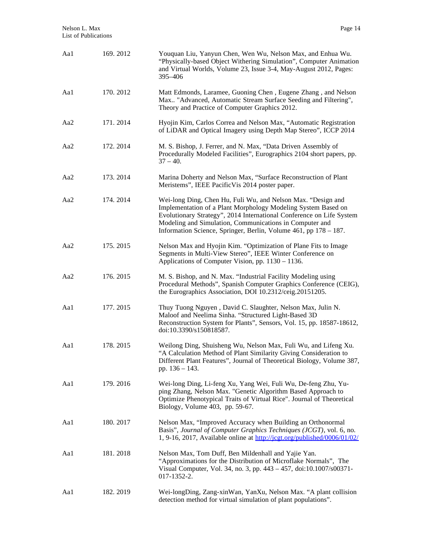| Aa1 | 169.2012 | Youquan Liu, Yanyun Chen, Wen Wu, Nelson Max, and Enhua Wu.<br>"Physically-based Object Withering Simulation", Computer Animation<br>and Virtual Worlds, Volume 23, Issue 3-4, May-August 2012, Pages:<br>395-406                                                                                                                    |
|-----|----------|--------------------------------------------------------------------------------------------------------------------------------------------------------------------------------------------------------------------------------------------------------------------------------------------------------------------------------------|
| Aa1 | 170.2012 | Matt Edmonds, Laramee, Guoning Chen, Eugene Zhang, and Nelson<br>Max "Advanced, Automatic Stream Surface Seeding and Filtering",<br>Theory and Practice of Computer Graphics 2012.                                                                                                                                                   |
| Aa2 | 171.2014 | Hyojin Kim, Carlos Correa and Nelson Max, "Automatic Registration<br>of LiDAR and Optical Imagery using Depth Map Stereo", ICCP 2014                                                                                                                                                                                                 |
| Aa2 | 172.2014 | M. S. Bishop, J. Ferrer, and N. Max, "Data Driven Assembly of<br>Procedurally Modeled Facilities", Eurographics 2104 short papers, pp.<br>$37 - 40.$                                                                                                                                                                                 |
| Aa2 | 173.2014 | Marina Doherty and Nelson Max, "Surface Reconstruction of Plant<br>Meristems", IEEE PacificVis 2014 poster paper.                                                                                                                                                                                                                    |
| Aa2 | 174.2014 | Wei-long Ding, Chen Hu, Fuli Wu, and Nelson Max. "Design and<br>Implementation of a Plant Morphology Modeling System Based on<br>Evolutionary Strategy", 2014 International Conference on Life System<br>Modeling and Simulation, Communications in Computer and<br>Information Science, Springer, Berlin, Volume 461, pp 178 - 187. |
| Aa2 | 175.2015 | Nelson Max and Hyojin Kim. "Optimization of Plane Fits to Image<br>Segments in Multi-View Stereo", IEEE Winter Conference on<br>Applications of Computer Vision, pp. 1130 - 1136.                                                                                                                                                    |
| Aa2 | 176.2015 | M. S. Bishop, and N. Max. "Industrial Facility Modeling using<br>Procedural Methods", Spanish Computer Graphics Conference (CEIG),<br>the Eurographics Association, DOI 10.2312/ceig.20151205.                                                                                                                                       |
| Aa1 | 177.2015 | Thuy Tuong Nguyen, David C. Slaughter, Nelson Max, Julin N.<br>Maloof and Neelima Sinha. "Structured Light-Based 3D<br>Reconstruction System for Plants", Sensors, Vol. 15, pp. 18587-18612,<br>doi:10.3390/s150818587.                                                                                                              |
| Aa1 | 178.2015 | Weilong Ding, Shuisheng Wu, Nelson Max, Fuli Wu, and Lifeng Xu.<br>"A Calculation Method of Plant Similarity Giving Consideration to<br>Different Plant Features", Journal of Theoretical Biology, Volume 387,<br>pp. $136 - 143$ .                                                                                                  |
| Aa1 | 179.2016 | Wei-long Ding, Li-feng Xu, Yang Wei, Fuli Wu, De-feng Zhu, Yu-<br>ping Zhang, Nelson Max. "Genetic Algorithm Based Approach to<br>Optimize Phenotypical Traits of Virtual Rice". Journal of Theoretical<br>Biology, Volume 403, pp. 59-67.                                                                                           |
| Aa1 | 180.2017 | Nelson Max, "Improved Accuracy when Building an Orthonormal<br>Basis", Journal of Computer Graphics Techniques (JCGT), vol. 6, no.<br>1, 9-16, 2017, Available online at http://jcgt.org/published/0006/01/02/                                                                                                                       |
| Aa1 | 181.2018 | Nelson Max, Tom Duff, Ben Mildenhall and Yajie Yan.<br>"Approximations for the Distribution of Microflake Normals", The<br>Visual Computer, Vol. 34, no. 3, pp. 443 - 457, doi:10.1007/s00371-<br>017-1352-2.                                                                                                                        |
| Aa1 | 182.2019 | Wei-longDing, Zang-xinWan, YanXu, Nelson Max. "A plant collision<br>detection method for virtual simulation of plant populations".                                                                                                                                                                                                   |